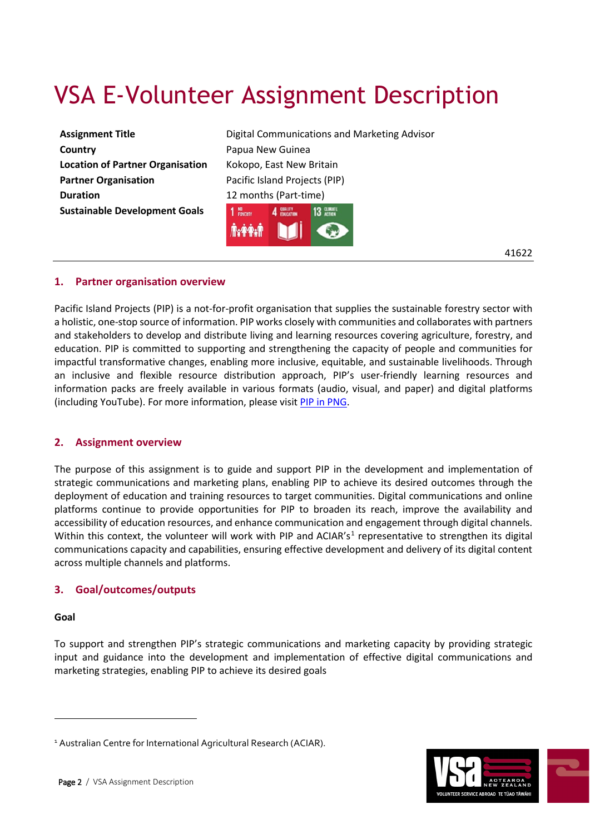# VSA E-Volunteer Assignment Description

| <b>Assignment Title</b>                 |
|-----------------------------------------|
| Country                                 |
| <b>Location of Partner Organisation</b> |
| <b>Partner Organisation</b>             |
| <b>Duration</b>                         |
| <b>Sustainable Development Goals</b>    |
|                                         |

**Digital Communications and Marketing Advisor** Papua New Guinea **Location of Partner Organisation** Kokopo, East New Britain Pacific Island Projects (PIP) 12 months (Part-time)  $1$  NO<br>POWERTY  $A$  SHEET **13 2004** 

41622

# **1. Partner organisation overview**

Pacific Island Projects (PIP) is a not-for-profit organisation that supplies the sustainable forestry sector with a holistic, one-stop source of information. PIP works closely with communities and collaborates with partners and stakeholders to develop and distribute living and learning resources covering agriculture, forestry, and education. PIP is committed to supporting and strengthening the capacity of people and communities for impactful transformative changes, enabling more inclusive, equitable, and sustainable livelihoods. Through an inclusive and flexible resource distribution approach, PIP's user-friendly learning resources and information packs are freely available in various formats (audio, visual, and paper) and digital platforms (including YouTube). For more information, please visit [PIP in PNG.](about:blank)

## **2. Assignment overview**

The purpose of this assignment is to guide and support PIP in the development and implementation of strategic communications and marketing plans, enabling PIP to achieve its desired outcomes through the deployment of education and training resources to target communities. Digital communications and online platforms continue to provide opportunities for PIP to broaden its reach, improve the availability and accessibility of education resources, and enhance communication and engagement through digital channels. Within this context, the volunteer will work with PIP and ACIAR's<sup>[1](#page-0-0)</sup> representative to strengthen its digital communications capacity and capabilities, ensuring effective development and delivery of its digital content across multiple channels and platforms.

# **3. Goal/outcomes/outputs**

#### **Goal**

 $\overline{a}$ 

To support and strengthen PIP's strategic communications and marketing capacity by providing strategic input and guidance into the development and implementation of effective digital communications and marketing strategies, enabling PIP to achieve its desired goals



<span id="page-0-0"></span><sup>&</sup>lt;sup>1</sup> Australian Centre for International Agricultural Research (ACIAR).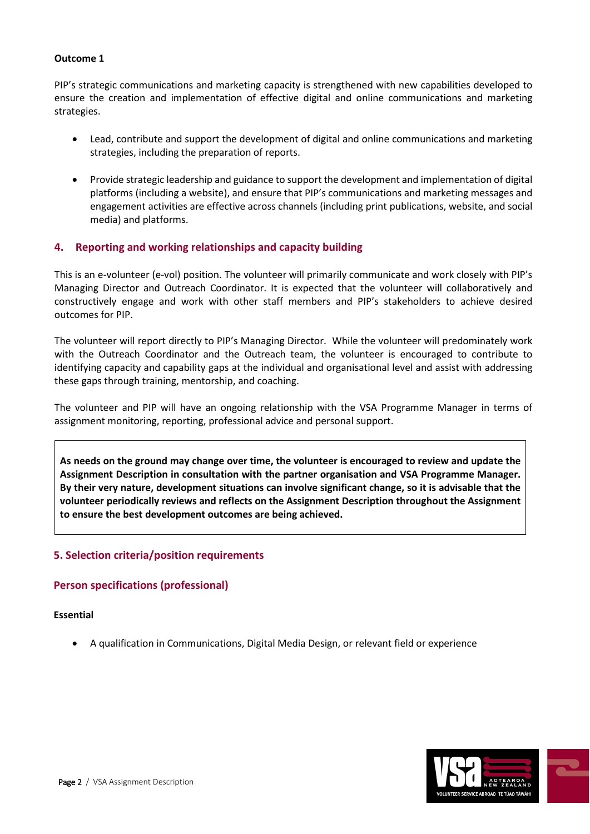## **Outcome 1**

PIP's strategic communications and marketing capacity is strengthened with new capabilities developed to ensure the creation and implementation of effective digital and online communications and marketing strategies.

- Lead, contribute and support the development of digital and online communications and marketing strategies, including the preparation of reports.
- Provide strategic leadership and guidance to support the development and implementation of digital platforms (including a website), and ensure that PIP's communications and marketing messages and engagement activities are effective across channels (including print publications, website, and social media) and platforms.

# **4. Reporting and working relationships and capacity building**

This is an e-volunteer (e-vol) position. The volunteer will primarily communicate and work closely with PIP's Managing Director and Outreach Coordinator. It is expected that the volunteer will collaboratively and constructively engage and work with other staff members and PIP's stakeholders to achieve desired outcomes for PIP.

The volunteer will report directly to PIP's Managing Director. While the volunteer will predominately work with the Outreach Coordinator and the Outreach team, the volunteer is encouraged to contribute to identifying capacity and capability gaps at the individual and organisational level and assist with addressing these gaps through training, mentorship, and coaching.

The volunteer and PIP will have an ongoing relationship with the VSA Programme Manager in terms of assignment monitoring, reporting, professional advice and personal support.

**As needs on the ground may change over time, the volunteer is encouraged to review and update the Assignment Description in consultation with the partner organisation and VSA Programme Manager. By their very nature, development situations can involve significant change, so it is advisable that the volunteer periodically reviews and reflects on the Assignment Description throughout the Assignment to ensure the best development outcomes are being achieved.**

# **5. Selection criteria/position requirements**

# **Person specifications (professional)**

**Essential** 

• A qualification in Communications, Digital Media Design, or relevant field or experience

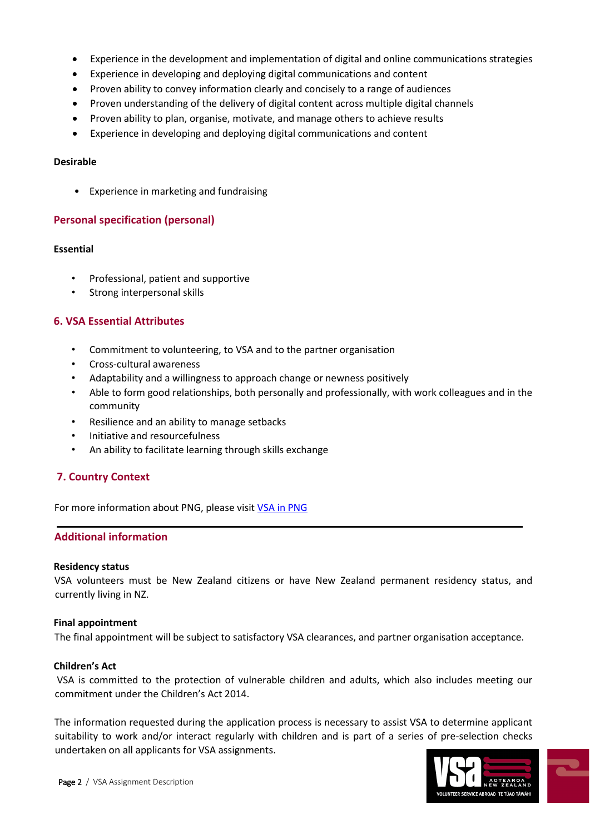- Experience in the development and implementation of digital and online communications strategies
- Experience in developing and deploying digital communications and content
- Proven ability to convey information clearly and concisely to a range of audiences
- Proven understanding of the delivery of digital content across multiple digital channels
- Proven ability to plan, organise, motivate, and manage others to achieve results
- Experience in developing and deploying digital communications and content

#### **Desirable**

• Experience in marketing and fundraising

## **Personal specification (personal)**

#### **Essential**

- Professional, patient and supportive
- Strong interpersonal skills

# **6. VSA Essential Attributes**

- Commitment to volunteering, to VSA and to the partner organisation
- Cross-cultural awareness
- Adaptability and a willingness to approach change or newness positively
- Able to form good relationships, both personally and professionally, with work colleagues and in the community
- Resilience and an ability to manage setbacks
- Initiative and resourcefulness
- An ability to facilitate learning through skills exchange

# **7. Country Context**

For more information about PNG, please visi[t VSA in PNG](about:blank)

# **Additional information**

## **Residency status**

VSA volunteers must be New Zealand citizens or have New Zealand permanent residency status, and currently living in NZ.

## **Final appointment**

The final appointment will be subject to satisfactory VSA clearances, and partner organisation acceptance.

#### **Children's Act**

VSA is committed to the protection of vulnerable children and adults, which also includes meeting our commitment under the Children's Act 2014.

The information requested during the application process is necessary to assist VSA to determine applicant suitability to work and/or interact regularly with children and is part of a series of pre-selection checks undertaken on all applicants for VSA assignments.